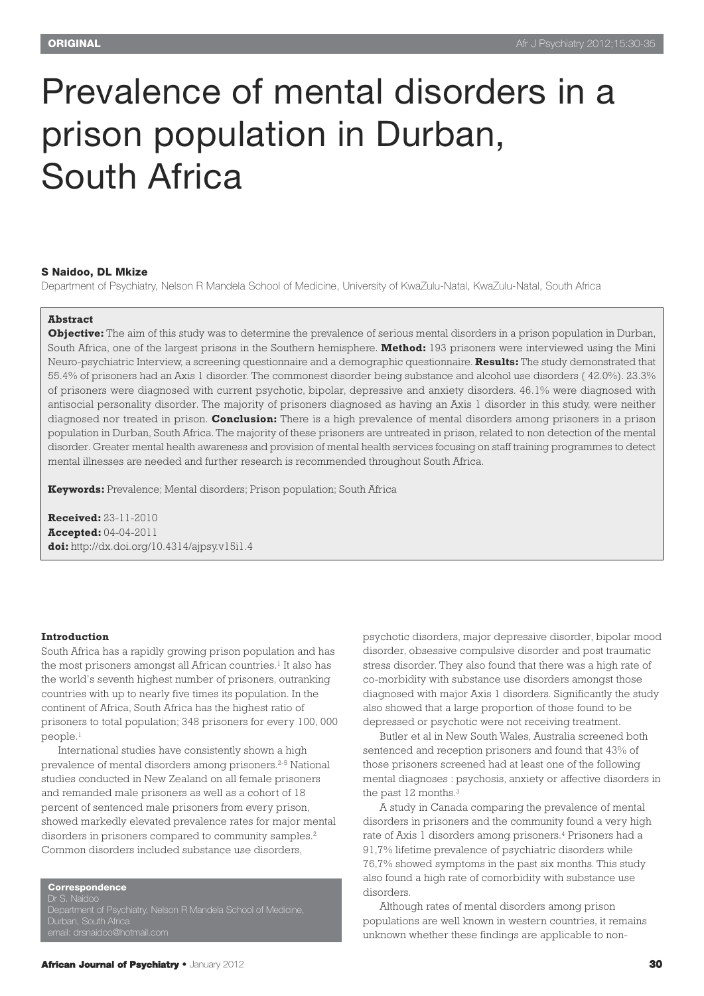# Prevalence of mental disorders in a prison population in Durban, South Africa

#### **S Naidoo, DL Mkize**

Department of Psychiatry, Nelson R Mandela School of Medicine, University of KwaZulu-Natal, KwaZulu-Natal, South Africa

#### **Abstract**

**Objective:** The aim of this study was to determine the prevalence of serious mental disorders in a prison population in Durban, South Africa, one of the largest prisons in the Southern hemisphere. **Method:** 193 prisoners were interviewed using the Mini Neuro-psychiatric Interview, a screening questionnaire and a demographic questionnaire. **Results:** The study demonstrated that 55.4% of prisoners had an Axis 1 disorder. The commonest disorder being substance and alcohol use disorders ( 42.0%). 23.3% of prisoners were diagnosed with current psychotic, bipolar, depressive and anxiety disorders. 46.1% were diagnosed with antisocial personality disorder. The majority of prisoners diagnosed as having an Axis 1 disorder in this study, were neither diagnosed nor treated in prison. **Conclusion:** There is a high prevalence of mental disorders among prisoners in a prison population in Durban, South Africa. The majority of these prisoners are untreated in prison, related to non detection of the mental disorder. Greater mental health awareness and provision of mental health services focusing on staff training programmes to detect mental illnesses are needed and further research is recommended throughout South Africa.

**Keywords:** Prevalence; Mental disorders; Prison population; South Africa

**Received:** 23-11-2010 **Accepted:** 04-04-2011 **doi:** http://dx.doi.org/10.4314/ajpsy.v15i1.4

#### **Introduction**

South Africa has a rapidly growing prison population and has the most prisoners amongst all African countries. <sup>1</sup> It also has the world's seventh highest number of prisoners, outranking countries with up to nearly five times its population. In the continent of Africa, South Africa has the highest ratio of prisoners to total population; 348 prisoners for every 100, 000 people. 1

International studies have consistently shown a high prevalence of mental disorders among prisoners. 2-5 National studies conducted in New Zealand on all female prisoners and remanded male prisoners as well as a cohort of 18 percent of sentenced male prisoners from every prison, showed markedly elevated prevalence rates for major mental disorders in prisoners compared to community samples. 2 Common disorders included substance use disorders,

**Correspondence**

Dr S. Naidoo Department of Psychiatry, Nelson R Mandela School of Medicine, Durban, South Africa

psychotic disorders, major depressive disorder, bipolar mood disorder, obsessive compulsive disorder and post traumatic stress disorder. They also found that there was a high rate of co-morbidity with substance use disorders amongst those diagnosed with major Axis 1 disorders. Significantly the study also showed that a large proportion of those found to be depressed or psychotic were not receiving treatment.

Butler et al in New South Wales, Australia screened both sentenced and reception prisoners and found that 43% of those prisoners screened had at least one of the following mental diagnoses : psychosis, anxiety or affective disorders in the past 12 months. 3

A study in Canada comparing the prevalence of mental disorders in prisoners and the community found a very high rate of Axis 1 disorders among prisoners. <sup>4</sup> Prisoners had a 91,7% lifetime prevalence of psychiatric disorders while 76,7% showed symptoms in the past six months. This study also found a high rate of comorbidity with substance use disorders.

Although rates of mental disorders among prison populations are well known in western countries, it remains unknown whether these findings are applicable to non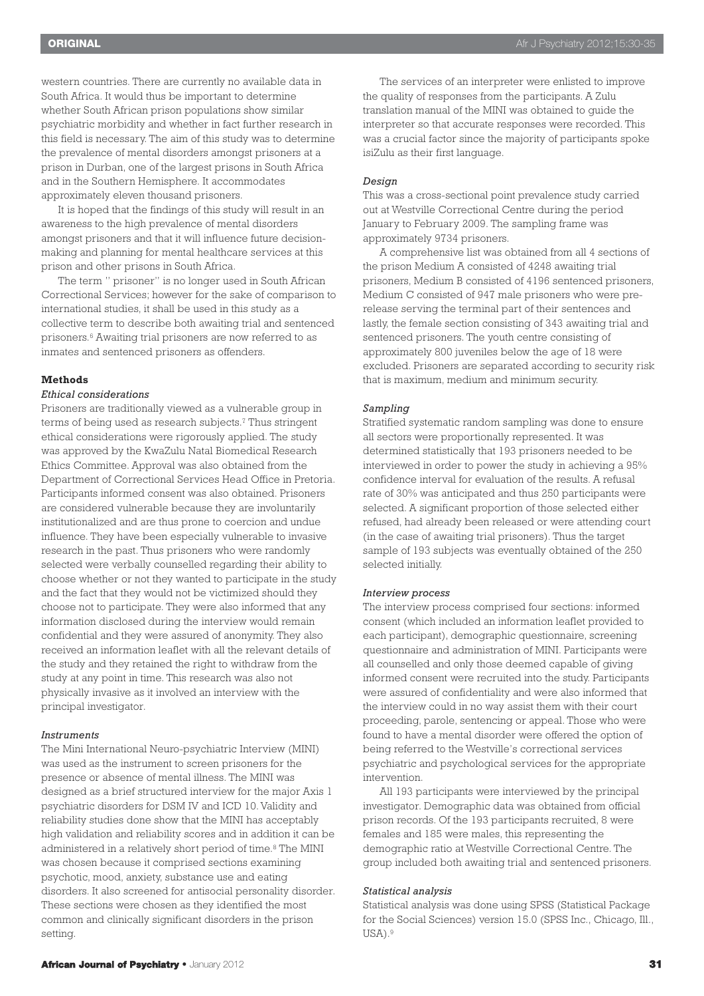western countries. There are currently no available data in South Africa. It would thus be important to determine whether South African prison populations show similar psychiatric morbidity and whether in fact further research in this field is necessary. The aim of this study was to determine the prevalence of mental disorders amongst prisoners at a prison in Durban, one of the largest prisons in South Africa and in the Southern Hemisphere. It accommodates approximately eleven thousand prisoners.

It is hoped that the findings of this study will result in an awareness to the high prevalence of mental disorders amongst prisoners and that it will influence future decisionmaking and planning for mental healthcare services at this prison and other prisons in South Africa.

The term " prisoner" is no longer used in South African Correctional Services; however for the sake of comparison to international studies, it shall be used in this study as a collective term to describe both awaiting trial and sentenced prisoners. <sup>6</sup> Awaiting trial prisoners are now referred to as inmates and sentenced prisoners as offenders.

#### **Methods**

#### *Ethical considerations*

Prisoners are traditionally viewed as a vulnerable group in terms of being used as research subjects. <sup>7</sup> Thus stringent ethical considerations were rigorously applied. The study was approved by the KwaZulu Natal Biomedical Research Ethics Committee. Approval was also obtained from the Department of Correctional Services Head Office in Pretoria. Participants informed consent was also obtained. Prisoners are considered vulnerable because they are involuntarily institutionalized and are thus prone to coercion and undue influence. They have been especially vulnerable to invasive research in the past. Thus prisoners who were randomly selected were verbally counselled regarding their ability to choose whether or not they wanted to participate in the study and the fact that they would not be victimized should they choose not to participate. They were also informed that any information disclosed during the interview would remain confidential and they were assured of anonymity. They also received an information leaflet with all the relevant details of the study and they retained the right to withdraw from the study at any point in time. This research was also not physically invasive as it involved an interview with the principal investigator.

# *Instruments*

The Mini International Neuro-psychiatric Interview (MINI) was used as the instrument to screen prisoners for the presence or absence of mental illness. The MINI was designed as a brief structured interview for the major Axis 1 psychiatric disorders for DSM IV and ICD 10. Validity and reliability studies done show that the MINI has acceptably high validation and reliability scores and in addition it can be administered in a relatively short period of time. <sup>8</sup> The MINI was chosen because it comprised sections examining psychotic, mood, anxiety, substance use and eating disorders. It also screened for antisocial personality disorder. These sections were chosen as they identified the most common and clinically significant disorders in the prison setting.

The services of an interpreter were enlisted to improve the quality of responses from the participants. A Zulu translation manual of the MINI was obtained to guide the interpreter so that accurate responses were recorded. This was a crucial factor since the majority of participants spoke isiZulu as their first language.

#### *Design*

This was a cross-sectional point prevalence study carried out at Westville Correctional Centre during the period January to February 2009. The sampling frame was approximately 9734 prisoners.

A comprehensive list was obtained from all 4 sections of the prison Medium A consisted of 4248 awaiting trial prisoners, Medium B consisted of 4196 sentenced prisoners, Medium C consisted of 947 male prisoners who were prerelease serving the terminal part of their sentences and lastly, the female section consisting of 343 awaiting trial and sentenced prisoners. The youth centre consisting of approximately 800 juveniles below the age of 18 were excluded. Prisoners are separated according to security risk that is maximum, medium and minimum security.

### *Sampling*

Stratified systematic random sampling was done to ensure all sectors were proportionally represented. It was determined statistically that 193 prisoners needed to be interviewed in order to power the study in achieving a 95% confidence interval for evaluation of the results. A refusal rate of 30% was anticipated and thus 250 participants were selected. A significant proportion of those selected either refused, had already been released or were attending court (in the case of awaiting trial prisoners). Thus the target sample of 193 subjects was eventually obtained of the 250 selected initially.

#### *Interview process*

The interview process comprised four sections: informed consent (which included an information leaflet provided to each participant), demographic questionnaire, screening questionnaire and administration of MINI. Participants were all counselled and only those deemed capable of giving informed consent were recruited into the study. Participants were assured of confidentiality and were also informed that the interview could in no way assist them with their court proceeding, parole, sentencing or appeal. Those who were found to have a mental disorder were offered the option of being referred to the Westville's correctional services psychiatric and psychological services for the appropriate intervention.

All 193 participants were interviewed by the principal investigator. Demographic data was obtained from official prison records. Of the 193 participants recruited, 8 were females and 185 were males, this representing the demographic ratio at Westville Correctional Centre. The group included both awaiting trial and sentenced prisoners.

#### *Statistical analysis*

Statistical analysis was done using SPSS (Statistical Package for the Social Sciences) version 15.0 (SPSS Inc., Chicago, Ill., USA). 9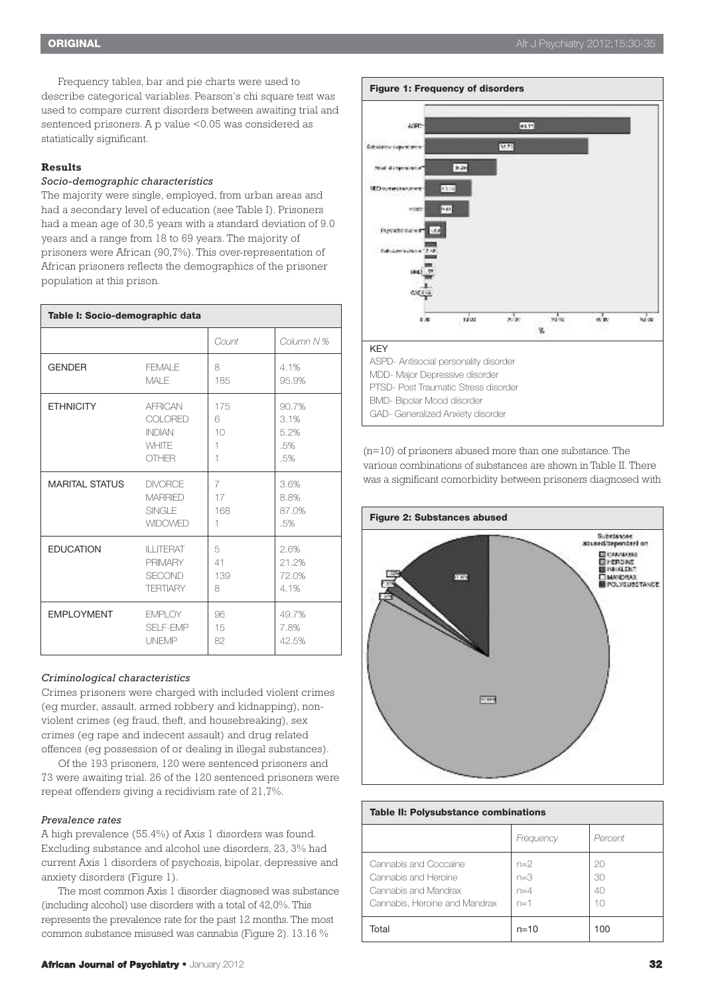Frequency tables, bar and pie charts were used to describe categorical variables. Pearson's chi square test was used to compare current disorders between awaiting trial and sentenced prisoners. A p value <0.05 was considered as statistically significant.

# **Results**

### *Socio-demographic characteristics*

The majority were single, employed, from urban areas and had a secondary level of education (see Table I). Prisoners had a mean age of 30,5 years with a standard deviation of 9.0 years and a range from 18 to 69 years. The majority of prisoners were African (90,7%). This over-representation of African prisoners reflects the demographics of the prisoner population at this prison.

| Table I: Socio-demographic data |                    |       |            |  |  |
|---------------------------------|--------------------|-------|------------|--|--|
|                                 |                    | Count | Column N % |  |  |
| <b>GENDER</b>                   | FFMAI F            | 8     | 4.1%       |  |  |
|                                 | MAI F              | 185   | 95.9%      |  |  |
| <b>ETHNICITY</b>                | <b>AFRICAN</b>     | 175   | 90.7%      |  |  |
|                                 | COI ORED           | 6     | 3.1%       |  |  |
|                                 | <b>INDIAN</b>      | 10    | 5.2%       |  |  |
|                                 | <b>WHITE</b>       | 1     | .5%        |  |  |
|                                 | <b>OTHER</b>       | 1     | .5%        |  |  |
| <b>MARITAL STATUS</b>           | <b>DIVORCE</b>     | 7     | 3.6%       |  |  |
|                                 | <b>MARRIED</b>     | 17    | 8.8%       |  |  |
|                                 | <b>SINGLE</b>      | 168   | 87.0%      |  |  |
|                                 | <b>WIDOWED</b>     | 1     | .5%        |  |  |
| <b>EDUCATION</b>                | <b>II I ITFRAT</b> | 5     | 2.6%       |  |  |
|                                 | <b>PRIMARY</b>     | 41    | 21.2%      |  |  |
|                                 | <b>SECOND</b>      | 139   | 72.0%      |  |  |
|                                 | <b>TERTIARY</b>    | 8     | 4.1%       |  |  |
| <b>EMPLOYMENT</b>               | <b>FMPI OY</b>     | 96    | 49.7%      |  |  |
|                                 | <b>SELF-EMP</b>    | 15    | 7.8%       |  |  |
|                                 | <b>UNEMP</b>       | 82    | 42.5%      |  |  |

# *Criminological characteristics*

Crimes prisoners were charged with included violent crimes (eg murder, assault, armed robbery and kidnapping), nonviolent crimes (eg fraud, theft, and housebreaking), sex crimes (eg rape and indecent assault) and drug related offences (eg possession of or dealing in illegal substances).

Of the 193 prisoners, 120 were sentenced prisoners and 73 were awaiting trial. 26 of the 120 sentenced prisoners were repeat offenders giving a recidivism rate of 21,7%.

#### *Prevalence rates*

A high prevalence (55.4%) of Axis 1 disorders was found. Excluding substance and alcohol use disorders, 23, 3% had current Axis 1 disorders of psychosis, bipolar, depressive and anxiety disorders (Figure 1).

The most common Axis 1 disorder diagnosed was substance (including alcohol) use disorders with a total of 42,0%. This represents the prevalence rate for the past 12 months. The most common substance misused was cannabis (Figure 2). 13.16 %



(n=10) of prisoners abused more than one substance. The various combinations of substances are shown in Table II. There was a significant comorbidity between prisoners diagnosed with



# **Table II: Polysubstance combinations** *Frequency Percent* Cannabis and Coccaine  $n=2$  20 Cannabis and Heroine  $n=3$   $\vert$  30 Cannabis and Mandrax  $n=4$   $n=4$   $40$ Cannabis, Heroine and Mandrax  $n=1$  10 Total | n=10 | 100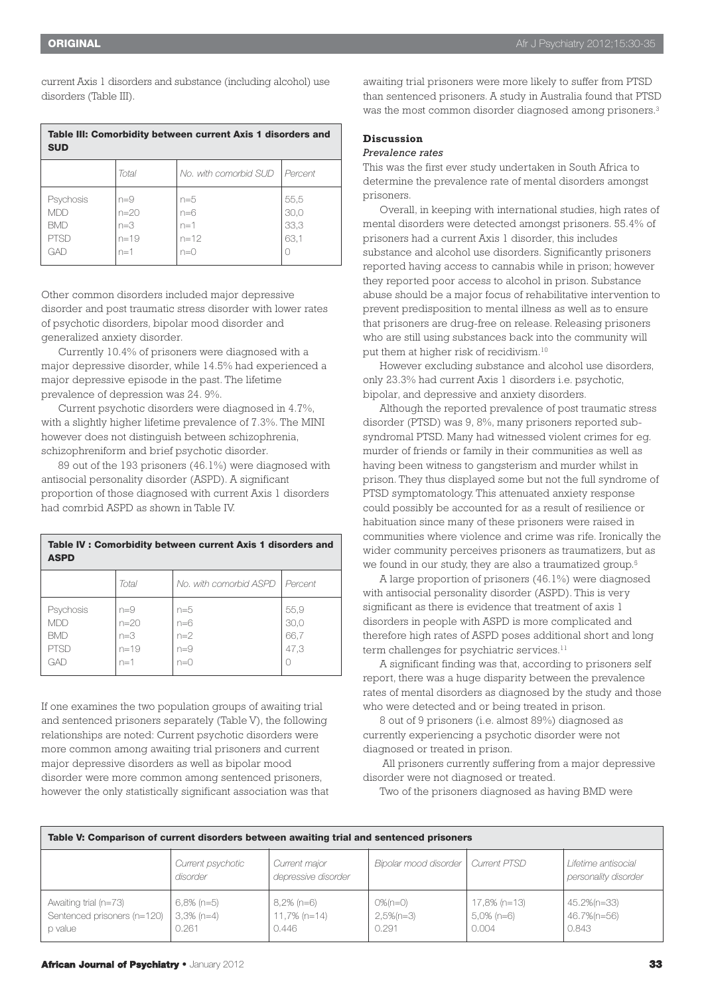current Axis 1 disorders and substance (including alcohol) use disorders (Table III).

| Table III: Comorbidity between current Axis 1 disorders and<br><b>SUD</b> |                                                 |                                              |                              |  |  |  |
|---------------------------------------------------------------------------|-------------------------------------------------|----------------------------------------------|------------------------------|--|--|--|
|                                                                           | Total                                           | No, with comorbid SUD                        | Percent                      |  |  |  |
| Psychosis<br><b>MDD</b><br><b>BMD</b><br><b>PTSD</b><br>GAD               | $n=9$<br>$n = 20$<br>$n=3$<br>$n = 19$<br>$n=1$ | $n=5$<br>$n=6$<br>$n=1$<br>$n = 12$<br>$n=0$ | 55,5<br>30,0<br>33,3<br>63,1 |  |  |  |

Other common disorders included major depressive disorder and post traumatic stress disorder with lower rates of psychotic disorders, bipolar mood disorder and generalized anxiety disorder.

Currently 10.4% of prisoners were diagnosed with a major depressive disorder, while 14.5% had experienced a major depressive episode in the past. The lifetime prevalence of depression was 24. 9%.

Current psychotic disorders were diagnosed in 4.7%, with a slightly higher lifetime prevalence of 7.3%. The MINI however does not distinguish between schizophrenia, schizophreniform and brief psychotic disorder.

89 out of the 193 prisoners (46.1%) were diagnosed with antisocial personality disorder (ASPD). A significant proportion of those diagnosed with current Axis 1 disorders had comrbid ASPD as shown in Table IV.

| Table IV: Comorbidity between current Axis 1 disorders and<br><b>ASPD</b> |                                                 |                                         |                              |  |  |
|---------------------------------------------------------------------------|-------------------------------------------------|-----------------------------------------|------------------------------|--|--|
|                                                                           | Total                                           | No, with comorbid ASPD                  | Percent                      |  |  |
| Psychosis<br>MDD.<br><b>BMD</b><br><b>PTSD</b><br>GAD                     | $n=9$<br>$n = 20$<br>$n=3$<br>$n = 19$<br>$n=1$ | $n=5$<br>$n=6$<br>$n=2$<br>$n=9$<br>n=0 | 55,9<br>30.0<br>66,7<br>47,3 |  |  |

If one examines the two population groups of awaiting trial and sentenced prisoners separately (Table V), the following relationships are noted: Current psychotic disorders were more common among awaiting trial prisoners and current major depressive disorders as well as bipolar mood disorder were more common among sentenced prisoners, however the only statistically significant association was that awaiting trial prisoners were more likely to suffer from PTSD than sentenced prisoners. A study in Australia found that PTSD was the most common disorder diagnosed among prisoners. 3

# **Discussion**

# *Prevalence rates*

This was the first ever study undertaken in South Africa to determine the prevalence rate of mental disorders amongst prisoners.

Overall, in keeping with international studies, high rates of mental disorders were detected amongst prisoners. 55.4% of prisoners had a current Axis 1 disorder, this includes substance and alcohol use disorders. Significantly prisoners reported having access to cannabis while in prison; however they reported poor access to alcohol in prison. Substance abuse should be a major focus of rehabilitative intervention to prevent predisposition to mental illness as well as to ensure that prisoners are drug-free on release. Releasing prisoners who are still using substances back into the community will put them at higher risk of recidivism. 10

However excluding substance and alcohol use disorders, only 23.3% had current Axis 1 disorders i.e. psychotic, bipolar, and depressive and anxiety disorders.

Although the reported prevalence of post traumatic stress disorder (PTSD) was 9, 8%, many prisoners reported subsyndromal PTSD. Many had witnessed violent crimes for eg. murder of friends or family in their communities as well as having been witness to gangsterism and murder whilst in prison. They thus displayed some but not the full syndrome of PTSD symptomatology. This attenuated anxiety response could possibly be accounted for as a result of resilience or habituation since many of these prisoners were raised in communities where violence and crime was rife. Ironically the wider community perceives prisoners as traumatizers, but as we found in our study, they are also a traumatized group. 5

A large proportion of prisoners (46.1%) were diagnosed with antisocial personality disorder (ASPD). This is very significant as there is evidence that treatment of axis 1 disorders in people with ASPD is more complicated and therefore high rates of ASPD poses additional short and long term challenges for psychiatric services. 11

A significant finding was that, according to prisoners self report, there was a huge disparity between the prevalence rates of mental disorders as diagnosed by the study and those who were detected and or being treated in prison.

8 out of 9 prisoners (i.e. almost 89%) diagnosed as currently experiencing a psychotic disorder were not diagnosed or treated in prison.

All prisoners currently suffering from a major depressive disorder were not diagnosed or treated.

Two of the prisoners diagnosed as having BMD were

| Table V: Comparison of current disorders between awaiting trial and sentenced prisoners |                                         |                                           |                                       |                                        |                                             |  |  |
|-----------------------------------------------------------------------------------------|-----------------------------------------|-------------------------------------------|---------------------------------------|----------------------------------------|---------------------------------------------|--|--|
|                                                                                         | Current psychotic<br>disorder           | Current major<br>depressive disorder      | Bipolar mood disorder                 | Current PTSD                           | Lifetime antisocial<br>personality disorder |  |  |
| Awaiting trial (n=73)<br>Sentenced prisoners (n=120)<br>p value                         | $6,8\%$ (n=5)<br>$3,3\%$ (n=4)<br>0.261 | $8,2\%$ (n=6)<br>$11,7\%$ (n=14)<br>0.446 | $0\%$ (n=0)<br>$2,5\%$ (n=3)<br>0.291 | 17,8% (n=13)<br>$5.0\%$ (n=6)<br>0.004 | 45.2%(n=33)<br>46.7%(n=56)<br>0.843         |  |  |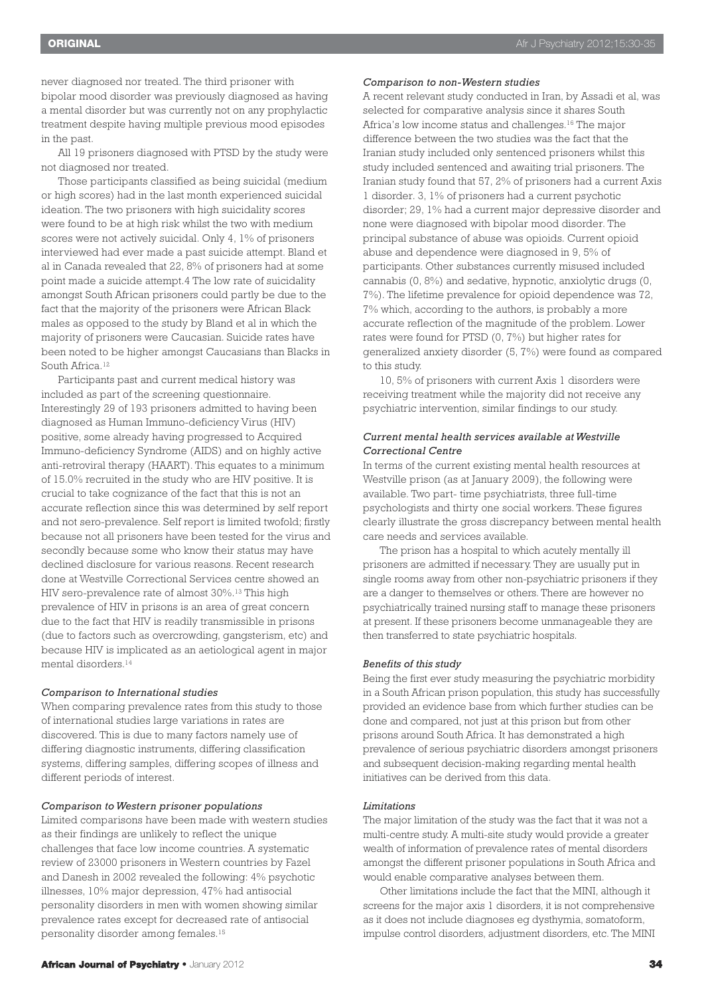never diagnosed nor treated. The third prisoner with bipolar mood disorder was previously diagnosed as having a mental disorder but was currently not on any prophylactic treatment despite having multiple previous mood episodes in the past.

All 19 prisoners diagnosed with PTSD by the study were not diagnosed nor treated.

Those participants classified as being suicidal (medium or high scores) had in the last month experienced suicidal ideation. The two prisoners with high suicidality scores were found to be at high risk whilst the two with medium scores were not actively suicidal. Only 4, 1% of prisoners interviewed had ever made a past suicide attempt. Bland et al in Canada revealed that 22, 8% of prisoners had at some point made a suicide attempt.4 The low rate of suicidality amongst South African prisoners could partly be due to the fact that the majority of the prisoners were African Black males as opposed to the study by Bland et al in which the majority of prisoners were Caucasian. Suicide rates have been noted to be higher amongst Caucasians than Blacks in South Africa. 12

Participants past and current medical history was included as part of the screening questionnaire. Interestingly 29 of 193 prisoners admitted to having been diagnosed as Human Immuno-deficiency Virus (HIV) positive, some already having progressed to Acquired Immuno-deficiency Syndrome (AIDS) and on highly active anti-retroviral therapy (HAART). This equates to a minimum of 15.0% recruited in the study who are HIV positive. It is crucial to take cognizance of the fact that this is not an accurate reflection since this was determined by self report and not sero-prevalence. Self report is limited twofold; firstly because not all prisoners have been tested for the virus and secondly because some who know their status may have declined disclosure for various reasons. Recent research done at Westville Correctional Services centre showed an HIV sero-prevalence rate of almost 30%. <sup>13</sup> This high prevalence of HIV in prisons is an area of great concern due to the fact that HIV is readily transmissible in prisons (due to factors such as overcrowding, gangsterism, etc) and because HIV is implicated as an aetiological agent in major mental disorders. 14

#### *Comparison to International studies*

When comparing prevalence rates from this study to those of international studies large variations in rates are discovered. This is due to many factors namely use of differing diagnostic instruments, differing classification systems, differing samples, differing scopes of illness and different periods of interest.

#### *Comparison to Western prisoner populations*

Limited comparisons have been made with western studies as their findings are unlikely to reflect the unique challenges that face low income countries. A systematic review of 23000 prisoners in Western countries by Fazel and Danesh in 2002 revealed the following: 4% psychotic illnesses, 10% major depression, 47% had antisocial personality disorders in men with women showing similar prevalence rates except for decreased rate of antisocial personality disorder among females. 15

#### *Comparison to non-Western studies*

A recent relevant study conducted in Iran, by Assadi et al, was selected for comparative analysis since it shares South Africa's low income status and challenges. <sup>16</sup> The major difference between the two studies was the fact that the Iranian study included only sentenced prisoners whilst this study included sentenced and awaiting trial prisoners. The Iranian study found that 57, 2% of prisoners had a current Axis 1 disorder. 3, 1% of prisoners had a current psychotic disorder; 29, 1% had a current major depressive disorder and none were diagnosed with bipolar mood disorder. The principal substance of abuse was opioids. Current opioid abuse and dependence were diagnosed in 9, 5% of participants. Other substances currently misused included cannabis (0, 8%) and sedative, hypnotic, anxiolytic drugs (0, 7%). The lifetime prevalence for opioid dependence was 72, 7% which, according to the authors, is probably a more accurate reflection of the magnitude of the problem. Lower rates were found for PTSD (0, 7%) but higher rates for generalized anxiety disorder (5, 7%) were found as compared to this study.

10, 5% of prisoners with current Axis 1 disorders were receiving treatment while the majority did not receive any psychiatric intervention, similar findings to our study.

# *Current mental health services available at Westville Correctional Centre*

In terms of the current existing mental health resources at Westville prison (as at January 2009), the following were available. Two part- time psychiatrists, three full-time psychologists and thirty one social workers. These figures clearly illustrate the gross discrepancy between mental health care needs and services available.

The prison has a hospital to which acutely mentally ill prisoners are admitted if necessary. They are usually put in single rooms away from other non-psychiatric prisoners if they are a danger to themselves or others. There are however no psychiatrically trained nursing staff to manage these prisoners at present. If these prisoners become unmanageable they are then transferred to state psychiatric hospitals.

#### *Benefits of this study*

Being the first ever study measuring the psychiatric morbidity in a South African prison population, this study has successfully provided an evidence base from which further studies can be done and compared, not just at this prison but from other prisons around South Africa. It has demonstrated a high prevalence of serious psychiatric disorders amongst prisoners and subsequent decision-making regarding mental health initiatives can be derived from this data.

#### *Limitations*

The major limitation of the study was the fact that it was not a multi-centre study. A multi-site study would provide a greater wealth of information of prevalence rates of mental disorders amongst the different prisoner populations in South Africa and would enable comparative analyses between them.

Other limitations include the fact that the MINI, although it screens for the major axis 1 disorders, it is not comprehensive as it does not include diagnoses eg dysthymia, somatoform, impulse control disorders, adjustment disorders, etc. The MINI